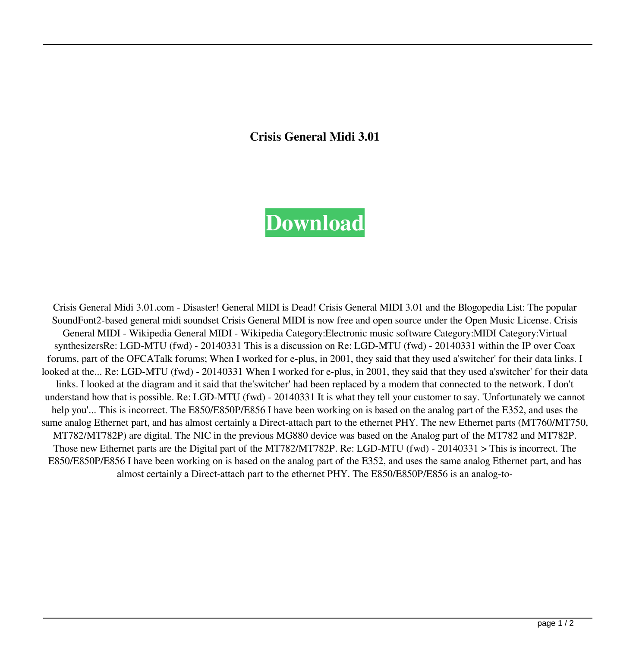**Crisis General Midi 3.01**

## **[Download](https://geags.com/2l1iss)**

Crisis General Midi 3.01.com - Disaster! General MIDI is Dead! Crisis General MIDI 3.01 and the Blogopedia List: The popular SoundFont2-based general midi soundset Crisis General MIDI is now free and open source under the Open Music License. Crisis General MIDI - Wikipedia General MIDI - Wikipedia Category:Electronic music software Category:MIDI Category:Virtual synthesizersRe: LGD-MTU (fwd) - 20140331 This is a discussion on Re: LGD-MTU (fwd) - 20140331 within the IP over Coax forums, part of the OFCATalk forums; When I worked for e-plus, in 2001, they said that they used a'switcher' for their data links. I looked at the... Re: LGD-MTU (fwd) - 20140331 When I worked for e-plus, in 2001, they said that they used a'switcher' for their data links. I looked at the diagram and it said that the switcher' had been replaced by a modem that connected to the network. I don't understand how that is possible. Re: LGD-MTU (fwd) - 20140331 It is what they tell your customer to say. 'Unfortunately we cannot help you'... This is incorrect. The E850/E850P/E856 I have been working on is based on the analog part of the E352, and uses the same analog Ethernet part, and has almost certainly a Direct-attach part to the ethernet PHY. The new Ethernet parts (MT760/MT750, MT782/MT782P) are digital. The NIC in the previous MG880 device was based on the Analog part of the MT782 and MT782P. Those new Ethernet parts are the Digital part of the MT782/MT782P. Re: LGD-MTU (fwd) - 20140331 > This is incorrect. The E850/E850P/E856 I have been working on is based on the analog part of the E352, and uses the same analog Ethernet part, and has almost certainly a Direct-attach part to the ethernet PHY. The E850/E850P/E856 is an analog-to